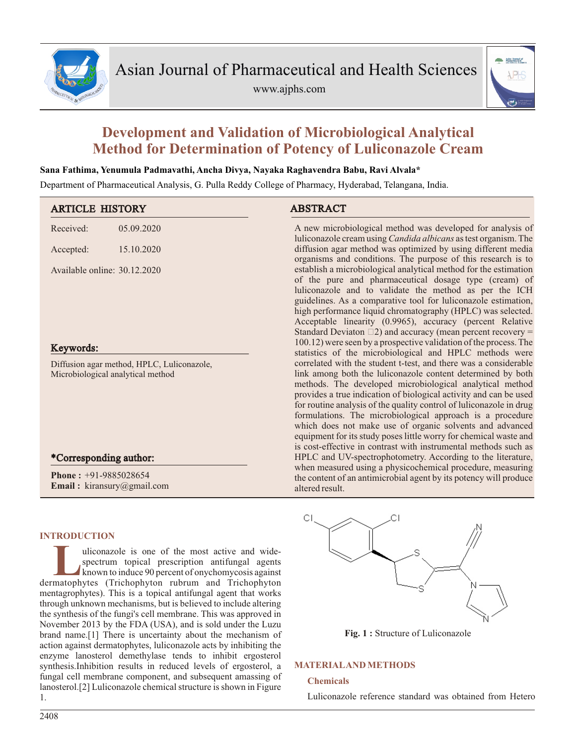

www.ajphs.com



# **Development and Validation of Microbiological Analytical Method for Determination of Potency of Luliconazole Cream**

# **Sana Fathima, Yenumula Padmavathi, Ancha Divya, Nayaka Raghavendra Babu, Ravi Alvala\***

Department of Pharmaceutical Analysis, G. Pulla Reddy College of Pharmacy, Hyderabad, Telangana, India.

| <b>ARTICLE HISTORY</b>                                                          | <b>ABSTRACT</b>                                                                                                                                                                                                                                                                                                                                                                                                                                                                                                                                                                                          |
|---------------------------------------------------------------------------------|----------------------------------------------------------------------------------------------------------------------------------------------------------------------------------------------------------------------------------------------------------------------------------------------------------------------------------------------------------------------------------------------------------------------------------------------------------------------------------------------------------------------------------------------------------------------------------------------------------|
| 05.09.2020<br>Received:                                                         | A new microbiological method was developed for analysis of<br>luliconazole cream using <i>Candida albicans</i> as test organism. The                                                                                                                                                                                                                                                                                                                                                                                                                                                                     |
| 15.10.2020<br>Accepted:                                                         | diffusion agar method was optimized by using different media<br>organisms and conditions. The purpose of this research is to                                                                                                                                                                                                                                                                                                                                                                                                                                                                             |
| Available online: 30.12.2020                                                    | establish a microbiological analytical method for the estimation<br>of the pure and pharmaceutical dosage type (cream) of<br>luliconazole and to validate the method as per the ICH<br>guidelines. As a comparative tool for luliconazole estimation,<br>high performance liquid chromatography (HPLC) was selected.<br>Acceptable linearity (0.9965), accuracy (percent Relative<br>Standard Deviaton $\Box$ 2) and accuracy (mean percent recovery =                                                                                                                                                   |
| Keywords:                                                                       | 100.12) were seen by a prospective validation of the process. The<br>statistics of the microbiological and HPLC methods were                                                                                                                                                                                                                                                                                                                                                                                                                                                                             |
| Diffusion agar method, HPLC, Luliconazole,<br>Microbiological analytical method | correlated with the student t-test, and there was a considerable<br>link among both the luliconazole content determined by both<br>methods. The developed microbiological analytical method<br>provides a true indication of biological activity and can be used<br>for routine analysis of the quality control of luliconazole in drug<br>formulations. The microbiological approach is a procedure<br>which does not make use of organic solvents and advanced<br>equipment for its study poses little worry for chemical waste and<br>is cost-effective in contrast with instrumental methods such as |
| *Corresponding author:                                                          | HPLC and UV-spectrophotometry. According to the literature,                                                                                                                                                                                                                                                                                                                                                                                                                                                                                                                                              |
| <b>Phone:</b> $+91-9885028654$<br><b>Email:</b> kiransury@gmail.com             | when measured using a physicochemical procedure, measuring<br>the content of an antimicrobial agent by its potency will produce<br>altered result.                                                                                                                                                                                                                                                                                                                                                                                                                                                       |

# **INTRODUCTION**

Luiconazole is one of the most active and wide-<br>spectrum topical prescription antifungal agents<br>known to induce 90 percent of onychomycosis against<br>dermatophytes (Trichophyton rubrum and Trichophyton uliconazole is one of the most active and widespectrum topical prescription antifungal agents known to induce 90 percent of onychomycosis against mentagrophytes). This is a topical antifungal agent that works through unknown mechanisms, but is believed to include altering the synthesis of the fungi's cell membrane. This was approved in November 2013 by the FDA (USA), and is sold under the Luzu brand name.[1] There is uncertainty about the mechanism of action against dermatophytes, luliconazole acts by inhibiting the enzyme lanosterol demethylase tends to inhibit ergosterol synthesis.Inhibition results in reduced levels of ergosterol, a fungal cell membrane component, and subsequent amassing of lanosterol.[2] Luliconazole chemical structure is shown in Figure 1.

СI

**Fig. 1 :** Structure of Luliconazole

# **MATERIALAND METHODS**

# **Chemicals**

Luliconazole reference standard was obtained from Hetero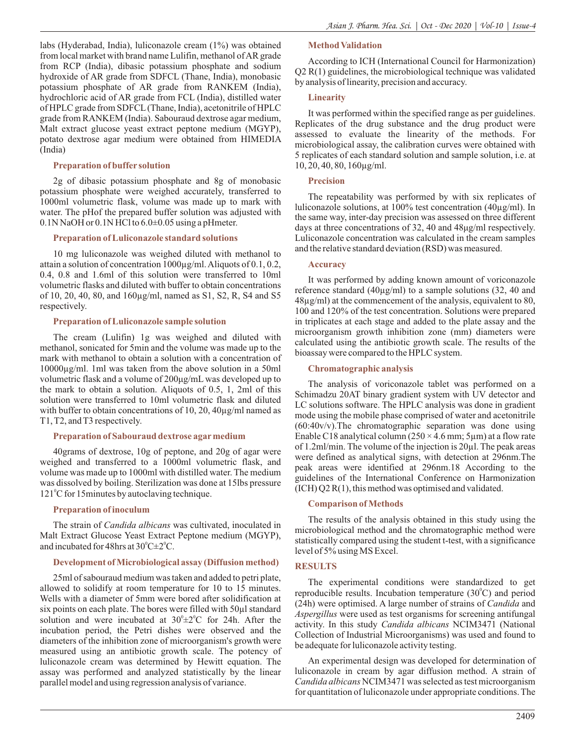labs (Hyderabad, India), luliconazole cream (1%) was obtained from local market with brand name Lulifin, methanol of AR grade from RCP (India), dibasic potassium phosphate and sodium hydroxide of AR grade from SDFCL (Thane, India), monobasic potassium phosphate of AR grade from RANKEM (India), hydrochloric acid of AR grade from FCL (India), distilled water of HPLC grade from SDFCL(Thane, India), acetonitrile of HPLC grade from RANKEM (India). Sabouraud dextrose agar medium, Malt extract glucose yeast extract peptone medium (MGYP), potato dextrose agar medium were obtained from HIMEDIA (India)

# **Preparation of buffer solution**

2g of dibasic potassium phosphate and 8g of monobasic potassium phosphate were weighed accurately, transferred to 1000ml volumetric flask, volume was made up to mark with water. The pHof the prepared buffer solution was adjusted with 0.1N NaOH or 0.1N HCl to 6.0±0.05 using a pHmeter.

# **Preparation of Luliconazole standard solutions**

10 mg luliconazole was weighed diluted with methanol to attain a solution of concentration 1000µg/ml. Aliquots of 0.1, 0.2, 0.4, 0.8 and 1.6ml of this solution were transferred to 10ml volumetric flasks and diluted with buffer to obtain concentrations of 10, 20, 40, 80, and 160µg/ml, named as S1, S2, R, S4 and S5 respectively.

#### **Preparation of Luliconazole sample solution**

The cream (Lulifin) 1g was weighed and diluted with methanol, sonicated for 5min and the volume was made up to the mark with methanol to obtain a solution with a concentration of 10000µg/ml. 1ml was taken from the above solution in a 50ml volumetric flask and a volume of 200μg/mL was developed up to the mark to obtain a solution. Aliquots of 0.5, 1, 2ml of this solution were transferred to 10ml volumetric flask and diluted with buffer to obtain concentrations of 10, 20, 40µg/ml named as T1, T2, and T3 respectively.

#### **Preparation of Sabouraud dextrose agarmedium**

40grams of dextrose, 10g of peptone, and 20g of agar were weighed and transferred to a 1000ml volumetric flask, and volume was made up to 1000ml with distilled water. The medium was dissolved by boiling. Sterilization was done at 15lbs pressure 121°C for 15minutes by autoclaving technique.

# **Preparation of inoculum**

The strain of *Candida albicans* was cultivated, inoculated in Malt Extract Glucose Yeast Extract Peptone medium (MGYP), and incubated for 48hrs at  $30^{\circ}$ C $\pm 2^{\circ}$ C.

# **Development of Microbiological assay (Diffusion method)**

25ml of sabouraud medium was taken and added to petri plate, allowed to solidify at room temperature for 10 to 15 minutes. Wells with a diameter of 5mm were bored after solidification at six points on each plate. The bores were filled with 50µl standard solution and were incubated at  $30^{\circ} \pm 2^{\circ}$ C for 24h. After the incubation period, the Petri dishes were observed and the diameters of the inhibition zone of microorganism's growth were measured using an antibiotic growth scale. The potency of luliconazole cream was determined by Hewitt equation. The assay was performed and analyzed statistically by the linear parallel model and using regression analysis of variance.

## **Method Validation**

According to ICH (International Council for Harmonization) Q2 R(1) guidelines, the microbiological technique was validated by analysis of linearity, precision and accuracy.

#### **Linearity**

It was performed within the specified range as per guidelines. Replicates of the drug substance and the drug product were assessed to evaluate the linearity of the methods. For microbiological assay, the calibration curves were obtained with 5 replicates of each standard solution and sample solution, i.e. at 10, 20, 40, 80, 160µg/ml.

#### **Precision**

The repeatability was performed by with six replicates of luliconazole solutions, at 100% test concentration (40µg/ml). In the same way, inter-day precision was assessed on three different days at three concentrations of 32, 40 and 48μg/ml respectively. Luliconazole concentration was calculated in the cream samples and the relative standard deviation (RSD) was measured.

#### **Accuracy**

It was performed by adding known amount of voriconazole reference standard (40µg/ml) to a sample solutions (32, 40 and 48µg/ml) at the commencement of the analysis, equivalent to 80, 100 and 120% of the test concentration. Solutions were prepared in triplicates at each stage and added to the plate assay and the microorganism growth inhibition zone (mm) diameters were calculated using the antibiotic growth scale. The results of the bioassay were compared to the HPLC system.

# **Chromatographic analysis**

The analysis of voriconazole tablet was performed on a Schimadzu 20AT binary gradient system with UV detector and LC solutions software. The HPLC analysis was done in gradient mode using the mobile phase comprised of water and acetonitrile (60:40v/v).The chromatographic separation was done using Enable C18 analytical column ( $250 \times 4.6$  mm;  $5 \mu$ m) at a flow rate of 1.2ml/min. The volume of the injection is 20µl. The peak areas were defined as analytical signs, with detection at 296nm.The peak areas were identified at 296nm.18 According to the guidelines of the International Conference on Harmonization (ICH) Q2 R(1), this method was optimised and validated.

#### **Comparison of Methods**

The results of the analysis obtained in this study using the microbiological method and the chromatographic method were statistically compared using the student t-test, with a significance level of 5% using MS Excel.

# **RESULTS**

The experimental conditions were standardized to get reproducible results. Incubation temperature  $(30^{\circ}C)$  and period (24h) were optimised. A large number of strains of *Candida* and *Aspergillus* were used as test organisms for screening antifungal activity. In this study *Candida albicans* NCIM3471 (National Collection of Industrial Microorganisms) was used and found to be adequate for luliconazole activity testing.

An experimental design was developed for determination of luliconazole in cream by agar diffusion method. A strain of *Candida albicans* NCIM3471 was selected as test microorganism for quantitation of luliconazole under appropriate conditions. The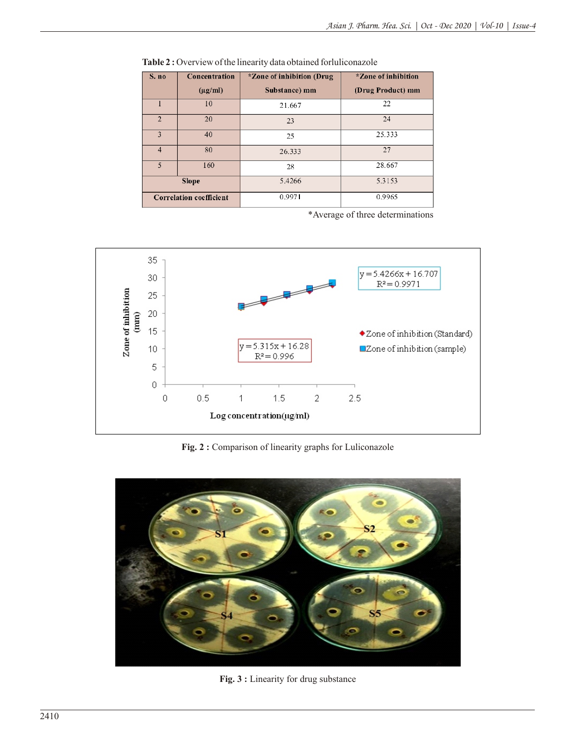| S. no          | Concentration                  | <i>*Zone of inhibition (Drug</i> | *Zone of inhibition |
|----------------|--------------------------------|----------------------------------|---------------------|
|                | $(\mu g/ml)$                   | Substance) mm                    | (Drug Product) mm   |
|                | 10                             | 21.667                           | 22                  |
| $\overline{2}$ | 20                             | 23                               | 24                  |
| 3              | 40                             | 25                               | 25.333              |
| $\overline{4}$ | 80                             | 26.333                           | 27                  |
| 5              | 160                            | 28                               | 28.667              |
|                | <b>Slope</b>                   | 5.4266                           | 5.3153              |
|                | <b>Correlation coefficient</b> | 0.9971                           | 0.9965              |

Table 2 : Overview of the linearity data obtained forluliconazole

\*Average of three determinations



**Fig. 2 :** Comparison of linearity graphs for Luliconazole



**Fig. 3 :** Linearity for drug substance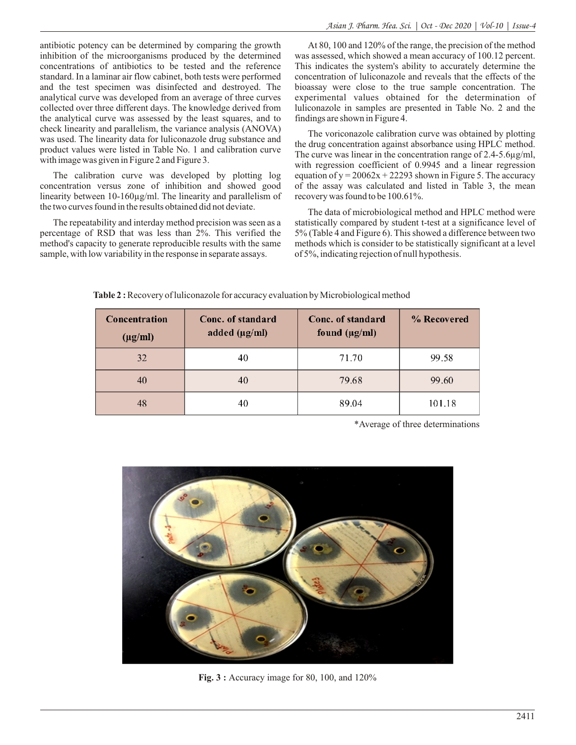antibiotic potency can be determined by comparing the growth inhibition of the microorganisms produced by the determined concentrations of antibiotics to be tested and the reference standard. In a laminar air flow cabinet, both tests were performed and the test specimen was disinfected and destroyed. The analytical curve was developed from an average of three curves collected over three different days. The knowledge derived from the analytical curve was assessed by the least squares, and to check linearity and parallelism, the variance analysis (ANOVA) was used. The linearity data for luliconazole drug substance and product values were listed in Table No. 1 and calibration curve with image was given in Figure 2 and Figure 3.

The calibration curve was developed by plotting log concentration versus zone of inhibition and showed good linearity between 10-160µg/ml. The linearity and parallelism of the two curves found in the results obtained did not deviate.

The repeatability and interday method precision was seen as a percentage of RSD that was less than 2%. This verified the method's capacity to generate reproducible results with the same sample, with low variability in the response in separate assays.

At 80, 100 and 120% of the range, the precision of the method was assessed, which showed a mean accuracy of 100.12 percent. This indicates the system's ability to accurately determine the concentration of luliconazole and reveals that the effects of the bioassay were close to the true sample concentration. The experimental values obtained for the determination of luliconazole in samples are presented in Table No. 2 and the findings are shown in Figure 4.

The voriconazole calibration curve was obtained by plotting the drug concentration against absorbance using HPLC method. The curve was linear in the concentration range of 2.4-5.6µg/ml, with regression coefficient of 0.9945 and a linear regression equation of  $y = 20062x + 22293$  shown in Figure 5. The accuracy of the assay was calculated and listed in Table 3, the mean recovery was found to be 100.61%.

The data of microbiological method and HPLC method were statistically compared by student t-test at a significance level of 5% (Table 4 and Figure 6). This showed a difference between two methods which is consider to be statistically significant at a level of 5%, indicating rejection of null hypothesis.

**Table 2 :** Recovery of luliconazole for accuracy evaluation by Microbiological method

| Concentration<br>$(\mu g/ml)$ | Conc. of standard<br>added $(\mu g/ml)$ | Conc. of standard<br>found $(\mu g/ml)$ | % Recovered |
|-------------------------------|-----------------------------------------|-----------------------------------------|-------------|
| 32                            | 40                                      | 71.70                                   | 99.58       |
| 40                            | 40                                      | 79.68                                   | 99.60       |
| 48                            | 40                                      | 89.04                                   | 101.18      |

\*Average of three determinations



**Fig. 3 :** Accuracy image for 80, 100, and 120%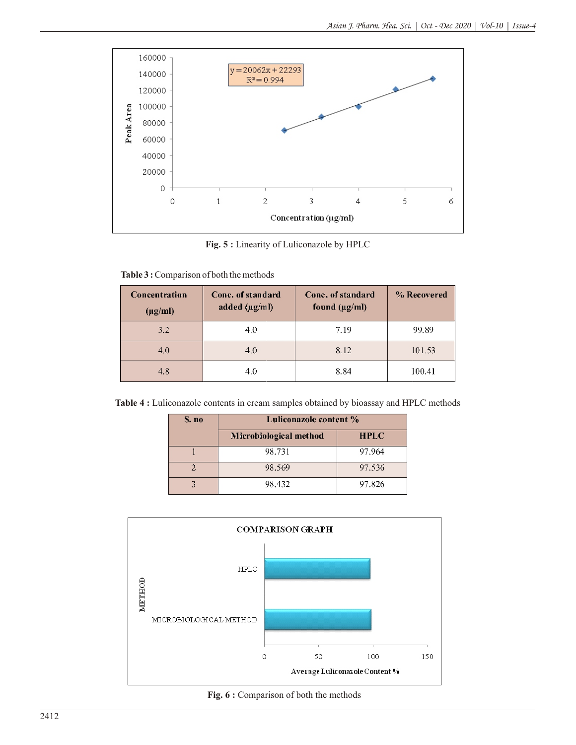

**Fig. 5 :** Linearity of Luliconazole by HPLC

| Table 3: Comparison of both the methods |  |
|-----------------------------------------|--|
|                                         |  |

| Concentration<br>$(\mu g/ml)$ | Conc. of standard<br>added $(\mu g/m)$ | Conc. of standard<br>found $(\mu g/ml)$ | % Recovered |
|-------------------------------|----------------------------------------|-----------------------------------------|-------------|
| 3.2                           | 4.0                                    | 7.19                                    | 99.89       |
| 4.0                           | 4.0                                    | 8.12                                    | 101.53      |
| 4.8                           | 4.0                                    | 8.84                                    | 100.41      |

**Table 4 :** Luliconazole contents in cream samples obtained by bioassay and HPLC methods

| S. no | Luliconazole content % |             |
|-------|------------------------|-------------|
|       | Microbiological method | <b>HPLC</b> |
|       | 98.731                 | 97.964      |
|       | 98.569                 | 97.536      |
|       | 98.432                 | 97.826      |



Fig. 6 : Comparison of both the methods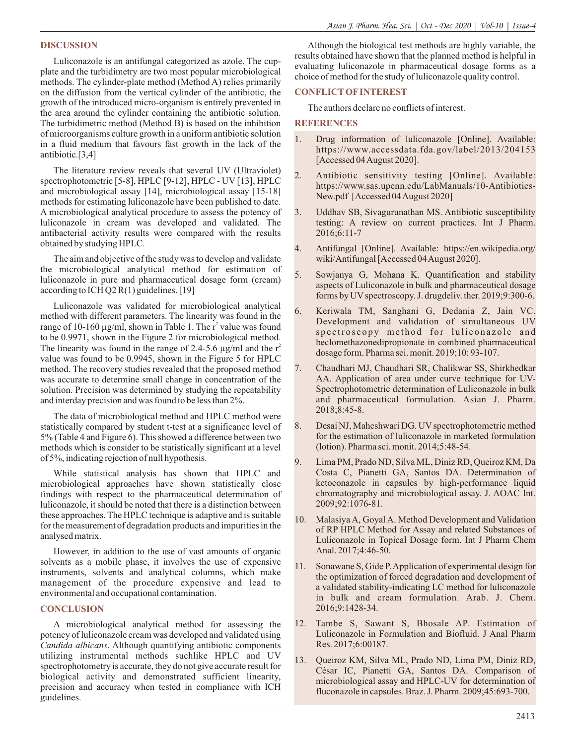## **DISCUSSION**

Luliconazole is an antifungal categorized as azole. The cupplate and the turbidimetry are two most popular microbiological methods. The cylinder-plate method (Method A) relies primarily on the diffusion from the vertical cylinder of the antibiotic, the growth of the introduced micro-organism is entirely prevented in the area around the cylinder containing the antibiotic solution. The turbidimetric method (Method B) is based on the inhibition of microorganisms culture growth in a uniform antibiotic solution in a fluid medium that favours fast growth in the lack of the antibiotic.[3,4]

The literature review reveals that several UV (Ultraviolet) spectrophotometric [5-8], HPLC [9-12], HPLC - UV [13], HPLC and microbiological assay [14], microbiological assay [15-18] methods for estimating luliconazole have been published to date. A microbiological analytical procedure to assess the potency of luliconazole in cream was developed and validated. The antibacterial activity results were compared with the results obtained by studying HPLC.

The aim and objective of the study was to develop and validate the microbiological analytical method for estimation of luliconazole in pure and pharmaceutical dosage form (cream) according to ICH Q2 R(1) guidelines. [19]

Luliconazole was validated for microbiological analytical method with different parameters. The linearity was found in the range of 10-160  $\mu$ g/ml, shown in Table 1. The r<sup>2</sup> value was found to be 0.9971, shown in the Figure 2 for microbiological method. The linearity was found in the range of 2.4-5.6  $\mu$ g/ml and the r<sup>2</sup> value was found to be 0.9945, shown in the Figure 5 for HPLC method. The recovery studies revealed that the proposed method was accurate to determine small change in concentration of the solution. Precision was determined by studying the repeatability and interday precision and was found to be less than 2%.

The data of microbiological method and HPLC method were statistically compared by student t-test at a significance level of 5% (Table 4 and Figure 6). This showed a difference between two methods which is consider to be statistically significant at a level of 5%, indicating rejection of null hypothesis.

While statistical analysis has shown that HPLC and microbiological approaches have shown statistically close findings with respect to the pharmaceutical determination of luliconazole, it should be noted that there is a distinction between these approaches. The HPLC technique is adaptive and is suitable for the measurement of degradation products and impurities in the analysed matrix.

However, in addition to the use of vast amounts of organic solvents as a mobile phase, it involves the use of expensive instruments, solvents and analytical columns, which make management of the procedure expensive and lead to environmental and occupational contamination.

#### **CONCLUSION**

A microbiological analytical method for assessing the potency of luliconazole cream was developed and validated using *Candida albicans*. Although quantifying antibiotic components utilizing instrumental methods suchlike HPLC and UV spectrophotometry is accurate, they do not give accurate result for biological activity and demonstrated sufficient linearity, precision and accuracy when tested in compliance with ICH guidelines.

Although the biological test methods are highly variable, the results obtained have shown that the planned method is helpful in evaluating luliconazole in pharmaceutical dosage forms as a choice of method for the study of luliconazole quality control.

# **CONFLICTOFINTEREST**

The authors declare no conflicts of interest.

#### **REFERENCES**

- 1. Drug information of luliconazole [Online]. Available: https://www.accessdata.fda.gov/label/2013/204153 [Accessed 04 August 2020].
- 2. Antibiotic sensitivity testing [Online]. Available: https://www.sas.upenn.edu/LabManuals/10-Antibiotics-New.pdf [Accessed 04 August 2020]
- 3. Uddhav SB, Sivagurunathan MS. Antibiotic susceptibility testing: A review on current practices. Int J Pharm. 2016;6:11-7
- 4. Antifungal [Online]. Available: https://en.wikipedia.org/ wiki/Antifungal [Accessed 04 August 2020].
- 5. Sowjanya G, Mohana K. Quantification and stability aspects of Luliconazole in bulk and pharmaceutical dosage forms by UV spectroscopy. J. drugdeliv. ther. 2019;9:300-6.
- 6. Keriwala TM, Sanghani G, Dedania Z, Jain VC. Development and validation of simultaneous UV spectroscopy method for luliconazole and beclomethazonedipropionate in combined pharmaceutical dosage form. Pharma sci. monit. 2019;10: 93-107.
- 7. Chaudhari MJ, Chaudhari SR, Chalikwar SS, Shirkhedkar AA. Application of area under curve technique for UV-Spectrophotometric determination of Luliconazole in bulk and pharmaceutical formulation. Asian J. Pharm. 2018;8:45-8.
- 8. Desai NJ, Maheshwari DG. UV spectrophotometric method for the estimation of luliconazole in marketed formulation (lotion). Pharma sci. monit. 2014;5:48-54.
- 9. Lima PM, Prado ND, Silva ML, Diniz RD, Queiroz KM, Da Costa C, Pianetti GA, Santos DA. Determination of ketoconazole in capsules by high-performance liquid chromatography and microbiological assay. J. AOAC Int. 2009;92:1076-81.
- 10. Malasiya A, Goyal A. Method Development and Validation of RP HPLC Method for Assay and related Substances of Luliconazole in Topical Dosage form. Int J Pharm Chem Anal. 2017;4:46-50.
- 11. Sonawane S, Gide P. Application of experimental design for the optimization of forced degradation and development of a validated stability-indicating LC method for luliconazole in bulk and cream formulation. Arab. J. Chem. 2016;9:1428-34.
- 12. Tambe S, Sawant S, Bhosale AP. Estimation of Luliconazole in Formulation and Biofluid. J Anal Pharm Res. 2017;6:00187.
- 13. Queiroz KM, Silva ML, Prado ND, Lima PM, Diniz RD, César IC, Pianetti GA, Santos DA. Comparison of microbiological assay and HPLC-UV for determination of fluconazole in capsules. Braz. J. Pharm. 2009;45:693-700.